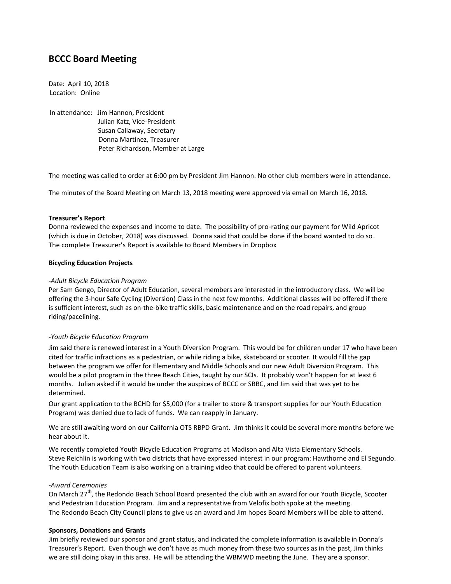# **BCCC Board Meeting**

Date: April 10, 2018 Location: Online

In attendance: Jim Hannon, President Julian Katz, Vice-President Susan Callaway, Secretary Donna Martinez, Treasurer Peter Richardson, Member at Large

The meeting was called to order at 6:00 pm by President Jim Hannon. No other club members were in attendance.

The minutes of the Board Meeting on March 13, 2018 meeting were approved via email on March 16, 2018.

## **Treasurer's Report**

Donna reviewed the expenses and income to date. The possibility of pro-rating our payment for Wild Apricot (which is due in October, 2018) was discussed. Donna said that could be done if the board wanted to do so. The complete Treasurer's Report is available to Board Members in Dropbox

## **Bicycling Education Projects**

## *-Adult Bicycle Education Program*

Per Sam Gengo, Director of Adult Education, several members are interested in the introductory class. We will be offering the 3-hour Safe Cycling (Diversion) Class in the next few months. Additional classes will be offered if there is sufficient interest, such as on-the-bike traffic skills, basic maintenance and on the road repairs, and group riding/pacelining.

# *-Youth Bicycle Education Program*

Jim said there is renewed interest in a Youth Diversion Program. This would be for children under 17 who have been cited for traffic infractions as a pedestrian, or while riding a bike, skateboard or scooter. It would fill the gap between the program we offer for Elementary and Middle Schools and our new Adult Diversion Program. This would be a pilot program in the three Beach Cities, taught by our SCIs. It probably won't happen for at least 6 months. Julian asked if it would be under the auspices of BCCC or SBBC, and Jim said that was yet to be determined.

Our grant application to the BCHD for \$5,000 (for a trailer to store & transport supplies for our Youth Education Program) was denied due to lack of funds. We can reapply in January.

We are still awaiting word on our California OTS RBPD Grant. Jim thinks it could be several more months before we hear about it.

We recently completed Youth Bicycle Education Programs at Madison and Alta Vista Elementary Schools. Steve Reichlin is working with two districts that have expressed interest in our program: Hawthorne and El Segundo. The Youth Education Team is also working on a training video that could be offered to parent volunteers.

### *-Award Ceremonies*

On March 27<sup>th</sup>, the Redondo Beach School Board presented the club with an award for our Youth Bicycle, Scooter and Pedestrian Education Program. Jim and a representative from Velofix both spoke at the meeting. The Redondo Beach City Council plans to give us an award and Jim hopes Board Members will be able to attend.

### *S***ponsors, Donations and Grants**

Jim briefly reviewed our sponsor and grant status, and indicated the complete information is available in Donna's Treasurer's Report. Even though we don't have as much money from these two sources as in the past, Jim thinks we are still doing okay in this area. He will be attending the WBMWD meeting the June. They are a sponsor.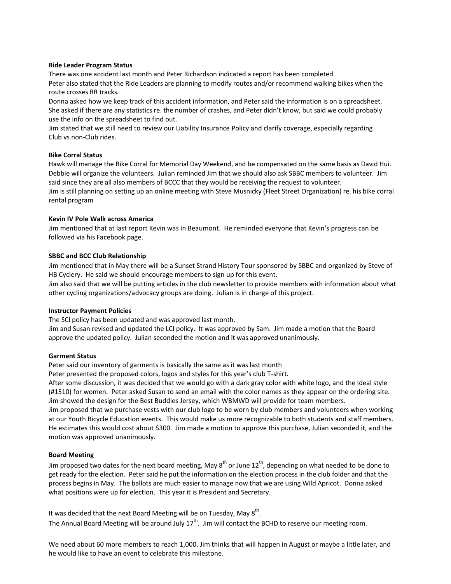### **Ride Leader Program Status**

There was one accident last month and Peter Richardson indicated a report has been completed. Peter also stated that the Ride Leaders are planning to modify routes and/or recommend walking bikes when the route crosses RR tracks.

Donna asked how we keep track of this accident information, and Peter said the information is on a spreadsheet. She asked if there are any statistics re. the number of crashes, and Peter didn't know, but said we could probably use the info on the spreadsheet to find out.

Jim stated that we still need to review our Liability Insurance Policy and clarify coverage, especially regarding Club vs non-Club rides.

## **Bike Corral Status**

Hawk will manage the Bike Corral for Memorial Day Weekend, and be compensated on the same basis as David Hui. Debbie will organize the volunteers. Julian reminded Jim that we should also ask SBBC members to volunteer. Jim said since they are all also members of BCCC that they would be receiving the request to volunteer. Jim is still planning on setting up an online meeting with Steve Musnicky (Fleet Street Organization) re. his bike corral rental program

# **Kevin IV Pole Walk across America**

Jim mentioned that at last report Kevin was in Beaumont. He reminded everyone that Kevin's progress can be followed via his Facebook page.

## **SBBC and BCC Club Relationship**

Jim mentioned that in May there will be a Sunset Strand History Tour sponsored by SBBC and organized by Steve of HB Cyclery. He said we should encourage members to sign up for this event.

Jim also said that we will be putting articles in the club newsletter to provide members with information about what other cycling organizations/advocacy groups are doing. Julian is in charge of this project.

### **Instructor Payment Policies**

The SCI policy has been updated and was approved last month.

Jim and Susan revised and updated the LCI policy. It was approved by Sam. Jim made a motion that the Board approve the updated policy. Julian seconded the motion and it was approved unanimously.

### **Garment Status**

Peter said our inventory of garments is basically the same as it was last month

Peter presented the proposed colors, logos and styles for this year's club T-shirt.

After some discussion, it was decided that we would go with a dark gray color with white logo, and the Ideal style (#1510) for women. Peter asked Susan to send an email with the color names as they appear on the ordering site. Jim showed the design for the Best Buddies Jersey, which WBMWD will provide for team members.

Jim proposed that we purchase vests with our club logo to be worn by club members and volunteers when working at our Youth Bicycle Education events. This would make us more recognizable to both students and staff members. He estimates this would cost about \$300. Jim made a motion to approve this purchase, Julian seconded it, and the motion was approved unanimously.

# **Board Meeting**

Jim proposed two dates for the next board meeting, May  $8^{th}$  or June  $12^{th}$ , depending on what needed to be done to get ready for the election. Peter said he put the information on the election process in the club folder and that the process begins in May. The ballots are much easier to manage now that we are using Wild Apricot. Donna asked what positions were up for election. This year it is President and Secretary.

It was decided that the next Board Meeting will be on Tuesday, May  $8^{th}$ . The Annual Board Meeting will be around July 17<sup>th</sup>. Jim will contact the BCHD to reserve our meeting room.

We need about 60 more members to reach 1,000. Jim thinks that will happen in August or maybe a little later, and he would like to have an event to celebrate this milestone.